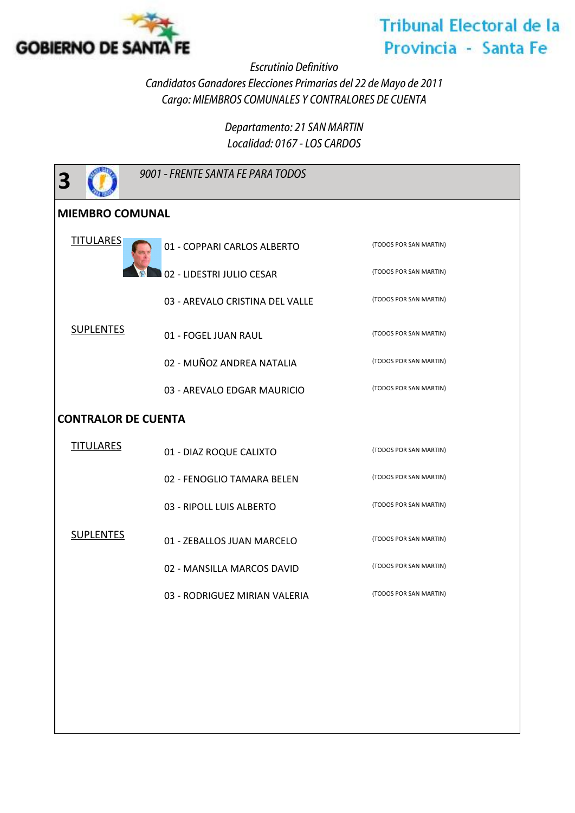

## **Tribunal Electoral de la** Provincia - Santa Fe

*Escrutinio Definitivo*

*Candidatos Ganadores Elecciones Primarias del 22 de Mayo de 2011 Cargo: MIEMBROS COMUNALES Y CONTRALORES DE CUENTA*

> *Departamento: 21 SAN MARTIN Localidad: 0167 - LOS CARDOS*

| 3                          | 9001 - FRENTE SANTA FE PARA TODOS |                        |  |
|----------------------------|-----------------------------------|------------------------|--|
| <b>MIEMBRO COMUNAL</b>     |                                   |                        |  |
| <b>TITULARES</b>           | 01 - COPPARI CARLOS ALBERTO       | (TODOS POR SAN MARTIN) |  |
| <b>SUPLENTES</b>           | 02 - LIDESTRI JULIO CESAR         | (TODOS POR SAN MARTIN) |  |
|                            | 03 - AREVALO CRISTINA DEL VALLE   | (TODOS POR SAN MARTIN) |  |
|                            | 01 - FOGEL JUAN RAUL              | (TODOS POR SAN MARTIN) |  |
|                            | 02 - MUÑOZ ANDREA NATALIA         | (TODOS POR SAN MARTIN) |  |
|                            | 03 - AREVALO EDGAR MAURICIO       | (TODOS POR SAN MARTIN) |  |
| <b>CONTRALOR DE CUENTA</b> |                                   |                        |  |
| <b>TITULARES</b>           | 01 - DIAZ ROQUE CALIXTO           | (TODOS POR SAN MARTIN) |  |
| <b>SUPLENTES</b>           | 02 - FENOGLIO TAMARA BELEN        | (TODOS POR SAN MARTIN) |  |
|                            | 03 - RIPOLL LUIS ALBERTO          | (TODOS POR SAN MARTIN) |  |
|                            | 01 - ZEBALLOS JUAN MARCELO        | (TODOS POR SAN MARTIN) |  |
|                            | 02 - MANSILLA MARCOS DAVID        | (TODOS POR SAN MARTIN) |  |
|                            | 03 - RODRIGUEZ MIRIAN VALERIA     | (TODOS POR SAN MARTIN) |  |
|                            |                                   |                        |  |
|                            |                                   |                        |  |
|                            |                                   |                        |  |
|                            |                                   |                        |  |